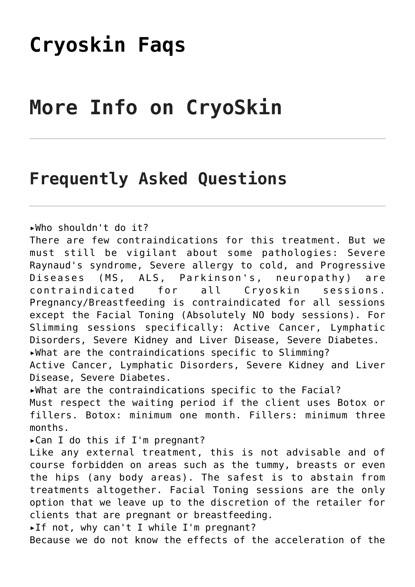## **[Cryoskin Faqs](https://www.wellkneadedcare.com/cryoskin-faqs/)**

## **More Info on CryoSkin**

## **Frequently Asked Questions**

▸Who shouldn't do it?

There are few contraindications for this treatment. But we must still be vigilant about some pathologies: Severe Raynaud's syndrome, Severe allergy to cold, and Progressive Diseases (MS, ALS, Parkinson's, neuropathy) are contraindicated for all Cryoskin sessions. Pregnancy/Breastfeeding is contraindicated for all sessions except the Facial Toning (Absolutely NO body sessions). For Slimming sessions specifically: Active Cancer, Lymphatic Disorders, Severe Kidney and Liver Disease, Severe Diabetes. ▸What are the contraindications specific to Slimming? Active Cancer, Lymphatic Disorders, Severe Kidney and Liver Disease, Severe Diabetes.

▸What are the contraindications specific to the Facial?

Must respect the waiting period if the client uses Botox or fillers. Botox: minimum one month. Fillers: minimum three months.

▸Can I do this if I'm pregnant?

Like any external treatment, this is not advisable and of course forbidden on areas such as the tummy, breasts or even the hips (any body areas). The safest is to abstain from treatments altogether. Facial Toning sessions are the only option that we leave up to the discretion of the retailer for clients that are pregnant or breastfeeding.

▸If not, why can't I while I'm pregnant?

Because we do not know the effects of the acceleration of the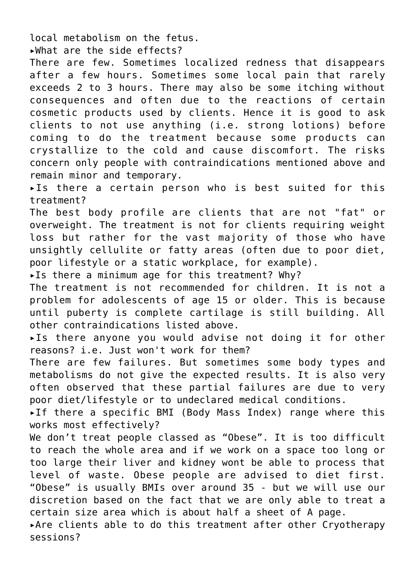local metabolism on the fetus.

▸What are the side effects?

There are few. Sometimes localized redness that disappears after a few hours. Sometimes some local pain that rarely exceeds 2 to 3 hours. There may also be some itching without consequences and often due to the reactions of certain cosmetic products used by clients. Hence it is good to ask clients to not use anything (i.e. strong lotions) before coming to do the treatment because some products can crystallize to the cold and cause discomfort. The risks concern only people with contraindications mentioned above and remain minor and temporary.

▸Is there a certain person who is best suited for this treatment?

The best body profile are clients that are not "fat" or overweight. The treatment is not for clients requiring weight loss but rather for the vast majority of those who have unsightly cellulite or fatty areas (often due to poor diet, poor lifestyle or a static workplace, for example).

▸Is there a minimum age for this treatment? Why?

The treatment is not recommended for children. It is not a problem for adolescents of age 15 or older. This is because until puberty is complete cartilage is still building. All other contraindications listed above.

▸Is there anyone you would advise not doing it for other reasons? i.e. Just won't work for them?

There are few failures. But sometimes some body types and metabolisms do not give the expected results. It is also very often observed that these partial failures are due to very poor diet/lifestyle or to undeclared medical conditions.

▸If there a specific BMI (Body Mass Index) range where this works most effectively?

We don't treat people classed as "Obese". It is too difficult to reach the whole area and if we work on a space too long or too large their liver and kidney wont be able to process that level of waste. Obese people are advised to diet first. "Obese" is usually BMIs over around 35 - but we will use our discretion based on the fact that we are only able to treat a certain size area which is about half a sheet of A page.

▸Are clients able to do this treatment after other Cryotherapy sessions?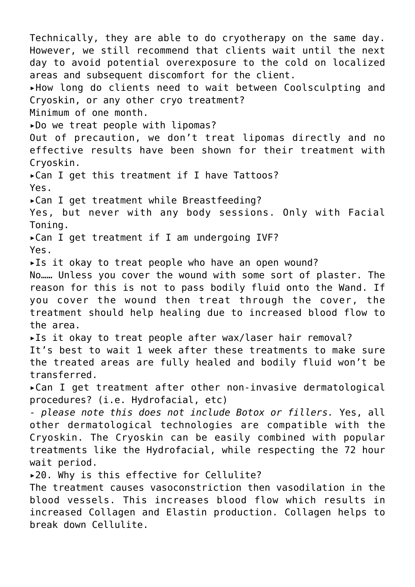Technically, they are able to do cryotherapy on the same day. However, we still recommend that clients wait until the next day to avoid potential overexposure to the cold on localized areas and subsequent discomfort for the client. ▸How long do clients need to wait between Coolsculpting and Cryoskin, or any other cryo treatment? Minimum of one month. ▸Do we treat people with lipomas? Out of precaution, we don't treat lipomas directly and no effective results have been shown for their treatment with Cryoskin. ▸Can I get this treatment if I have Tattoos? Yes. ▸Can I get treatment while Breastfeeding? Yes, but never with any body sessions. Only with Facial Toning. ▸Can I get treatment if I am undergoing IVF? Yes. ▸Is it okay to treat people who have an open wound? No…… Unless you cover the wound with some sort of plaster. The reason for this is not to pass bodily fluid onto the Wand. If you cover the wound then treat through the cover, the treatment should help healing due to increased blood flow to the area. ▸Is it okay to treat people after wax/laser hair removal? It's best to wait 1 week after these treatments to make sure the treated areas are fully healed and bodily fluid won't be transferred. ▸Can I get treatment after other non-invasive dermatological procedures? (i.e. Hydrofacial, etc) *- please note this does not include Botox or fillers.* Yes, all other dermatological technologies are compatible with the Cryoskin. The Cryoskin can be easily combined with popular treatments like the Hydrofacial, while respecting the 72 hour wait period. ▸20. Why is this effective for Cellulite? The treatment causes vasoconstriction then vasodilation in the blood vessels. This increases blood flow which results in increased Collagen and Elastin production. Collagen helps to break down Cellulite.